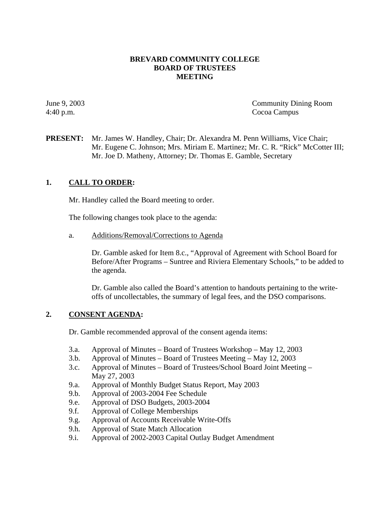## **BREVARD COMMUNITY COLLEGE BOARD OF TRUSTEES MEETING**

June 9, 2003 Community Dining Room 4:40 p.m. Cocoa Campus

**PRESENT:** Mr. James W. Handley, Chair; Dr. Alexandra M. Penn Williams, Vice Chair; Mr. Eugene C. Johnson; Mrs. Miriam E. Martinez; Mr. C. R. "Rick" McCotter III; Mr. Joe D. Matheny, Attorney; Dr. Thomas E. Gamble, Secretary

# **1. CALL TO ORDER:**

Mr. Handley called the Board meeting to order.

The following changes took place to the agenda:

a. Additions/Removal/Corrections to Agenda

Dr. Gamble asked for Item 8.c., "Approval of Agreement with School Board for Before/After Programs – Suntree and Riviera Elementary Schools," to be added to the agenda.

Dr. Gamble also called the Board's attention to handouts pertaining to the writeoffs of uncollectables, the summary of legal fees, and the DSO comparisons.

### **2. CONSENT AGENDA:**

Dr. Gamble recommended approval of the consent agenda items:

- 3.a. Approval of Minutes Board of Trustees Workshop May 12, 2003
- 3.b. Approval of Minutes Board of Trustees Meeting May 12, 2003
- 3.c. Approval of Minutes Board of Trustees/School Board Joint Meeting May 27, 2003
- 9.a. Approval of Monthly Budget Status Report, May 2003
- 9.b. Approval of 2003-2004 Fee Schedule
- 9.e. Approval of DSO Budgets, 2003-2004
- 9.f. Approval of College Memberships
- 9.g. Approval of Accounts Receivable Write-Offs
- 9.h. Approval of State Match Allocation
- 9.i. Approval of 2002-2003 Capital Outlay Budget Amendment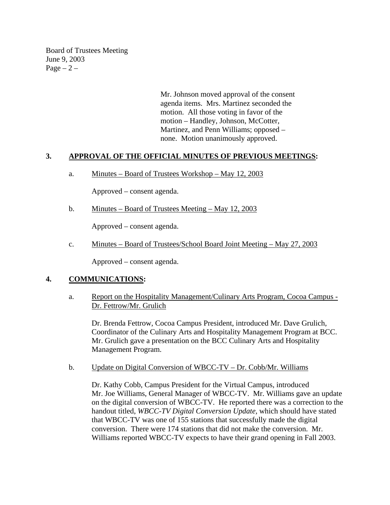Board of Trustees Meeting June 9, 2003  $Page - 2 -$ 

> Mr. Johnson moved approval of the consent agenda items. Mrs. Martinez seconded the motion. All those voting in favor of the motion – Handley, Johnson, McCotter, Martinez, and Penn Williams; opposed – none. Motion unanimously approved.

## **3. APPROVAL OF THE OFFICIAL MINUTES OF PREVIOUS MEETINGS:**

a. Minutes – Board of Trustees Workshop – May 12, 2003

Approved – consent agenda.

b. Minutes – Board of Trustees Meeting – May 12, 2003

Approved – consent agenda.

c. Minutes – Board of Trustees/School Board Joint Meeting – May 27, 2003

Approved – consent agenda.

### **4. COMMUNICATIONS:**

a. Report on the Hospitality Management/Culinary Arts Program, Cocoa Campus -Dr. Fettrow/Mr. Grulich

Dr. Brenda Fettrow, Cocoa Campus President, introduced Mr. Dave Grulich, Coordinator of the Culinary Arts and Hospitality Management Program at BCC. Mr. Grulich gave a presentation on the BCC Culinary Arts and Hospitality Management Program.

b. Update on Digital Conversion of WBCC-TV – Dr. Cobb/Mr. Williams

Dr. Kathy Cobb, Campus President for the Virtual Campus, introduced Mr. Joe Williams, General Manager of WBCC-TV. Mr. Williams gave an update on the digital conversion of WBCC-TV. He reported there was a correction to the handout titled, *WBCC-TV Digital Conversion Update,* which should have stated that WBCC-TV was one of 155 stations that successfully made the digital conversion. There were 174 stations that did not make the conversion. Mr. Williams reported WBCC-TV expects to have their grand opening in Fall 2003.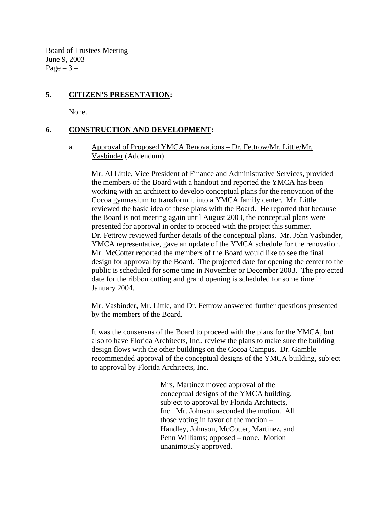Board of Trustees Meeting June 9, 2003 Page  $-3$  –

# **5. CITIZEN'S PRESENTATION:**

None.

# **6. CONSTRUCTION AND DEVELOPMENT:**

a. Approval of Proposed YMCA Renovations – Dr. Fettrow/Mr. Little/Mr. Vasbinder (Addendum)

Mr. Al Little, Vice President of Finance and Administrative Services, provided the members of the Board with a handout and reported the YMCA has been working with an architect to develop conceptual plans for the renovation of the Cocoa gymnasium to transform it into a YMCA family center. Mr. Little reviewed the basic idea of these plans with the Board. He reported that because the Board is not meeting again until August 2003, the conceptual plans were presented for approval in order to proceed with the project this summer. Dr. Fettrow reviewed further details of the conceptual plans. Mr. John Vasbinder, YMCA representative, gave an update of the YMCA schedule for the renovation. Mr. McCotter reported the members of the Board would like to see the final design for approval by the Board. The projected date for opening the center to the public is scheduled for some time in November or December 2003. The projected date for the ribbon cutting and grand opening is scheduled for some time in January 2004.

Mr. Vasbinder, Mr. Little, and Dr. Fettrow answered further questions presented by the members of the Board.

It was the consensus of the Board to proceed with the plans for the YMCA, but also to have Florida Architects, Inc., review the plans to make sure the building design flows with the other buildings on the Cocoa Campus. Dr. Gamble recommended approval of the conceptual designs of the YMCA building, subject to approval by Florida Architects, Inc.

> Mrs. Martinez moved approval of the conceptual designs of the YMCA building, subject to approval by Florida Architects, Inc. Mr. Johnson seconded the motion. All those voting in favor of the motion – Handley, Johnson, McCotter, Martinez, and Penn Williams; opposed – none. Motion unanimously approved.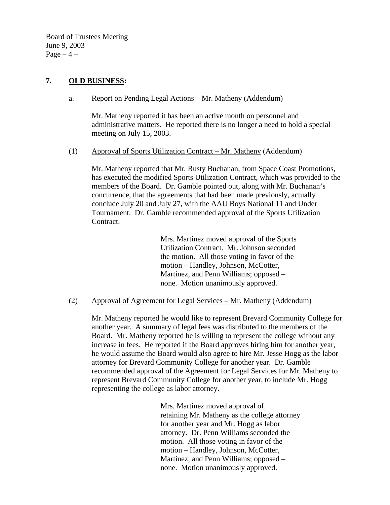Board of Trustees Meeting June 9, 2003 Page  $-4$  –

# **7. OLD BUSINESS:**

### a. Report on Pending Legal Actions – Mr. Matheny (Addendum)

Mr. Matheny reported it has been an active month on personnel and administrative matters. He reported there is no longer a need to hold a special meeting on July 15, 2003.

### (1) Approval of Sports Utilization Contract – Mr. Matheny (Addendum)

Mr. Matheny reported that Mr. Rusty Buchanan, from Space Coast Promotions, has executed the modified Sports Utilization Contract, which was provided to the members of the Board. Dr. Gamble pointed out, along with Mr. Buchanan's concurrence, that the agreements that had been made previously, actually conclude July 20 and July 27, with the AAU Boys National 11 and Under Tournament. Dr. Gamble recommended approval of the Sports Utilization Contract.

> Mrs. Martinez moved approval of the Sports Utilization Contract. Mr. Johnson seconded the motion. All those voting in favor of the motion – Handley, Johnson, McCotter, Martinez, and Penn Williams; opposed – none. Motion unanimously approved.

### (2) Approval of Agreement for Legal Services – Mr. Matheny (Addendum)

Mr. Matheny reported he would like to represent Brevard Community College for another year. A summary of legal fees was distributed to the members of the Board. Mr. Matheny reported he is willing to represent the college without any increase in fees. He reported if the Board approves hiring him for another year, he would assume the Board would also agree to hire Mr. Jesse Hogg as the labor attorney for Brevard Community College for another year. Dr. Gamble recommended approval of the Agreement for Legal Services for Mr. Matheny to represent Brevard Community College for another year, to include Mr. Hogg representing the college as labor attorney.

> Mrs. Martinez moved approval of retaining Mr. Matheny as the college attorney for another year and Mr. Hogg as labor attorney. Dr. Penn Williams seconded the motion. All those voting in favor of the motion – Handley, Johnson, McCotter, Martinez, and Penn Williams; opposed – none. Motion unanimously approved.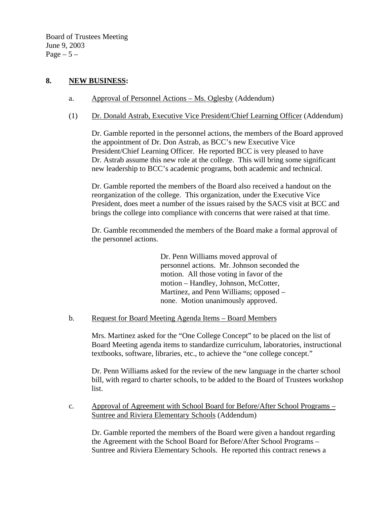Board of Trustees Meeting June 9, 2003 Page  $-5-$ 

# **8. NEW BUSINESS:**

- a. Approval of Personnel Actions Ms. Oglesby (Addendum)
- (1) Dr. Donald Astrab, Executive Vice President/Chief Learning Officer (Addendum)

Dr. Gamble reported in the personnel actions, the members of the Board approved the appointment of Dr. Don Astrab, as BCC's new Executive Vice President/Chief Learning Officer. He reported BCC is very pleased to have Dr. Astrab assume this new role at the college. This will bring some significant new leadership to BCC's academic programs, both academic and technical.

Dr. Gamble reported the members of the Board also received a handout on the reorganization of the college. This organization, under the Executive Vice President, does meet a number of the issues raised by the SACS visit at BCC and brings the college into compliance with concerns that were raised at that time.

Dr. Gamble recommended the members of the Board make a formal approval of the personnel actions.

> Dr. Penn Williams moved approval of personnel actions. Mr. Johnson seconded the motion. All those voting in favor of the motion – Handley, Johnson, McCotter, Martinez, and Penn Williams; opposed – none. Motion unanimously approved.

### b. Request for Board Meeting Agenda Items – Board Members

Mrs. Martinez asked for the "One College Concept" to be placed on the list of Board Meeting agenda items to standardize curriculum, laboratories, instructional textbooks, software, libraries, etc., to achieve the "one college concept."

Dr. Penn Williams asked for the review of the new language in the charter school bill, with regard to charter schools, to be added to the Board of Trustees workshop list.

### c. Approval of Agreement with School Board for Before/After School Programs – Suntree and Riviera Elementary Schools (Addendum)

Dr. Gamble reported the members of the Board were given a handout regarding the Agreement with the School Board for Before/After School Programs – Suntree and Riviera Elementary Schools. He reported this contract renews a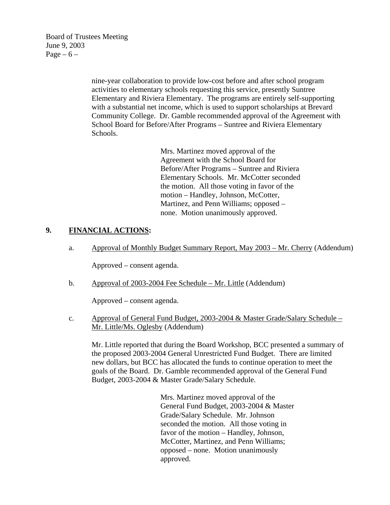Board of Trustees Meeting June 9, 2003 Page –  $6$  –

> nine-year collaboration to provide low-cost before and after school program activities to elementary schools requesting this service, presently Suntree Elementary and Riviera Elementary. The programs are entirely self-supporting with a substantial net income, which is used to support scholarships at Brevard Community College. Dr. Gamble recommended approval of the Agreement with School Board for Before/After Programs – Suntree and Riviera Elementary Schools.

> > Mrs. Martinez moved approval of the Agreement with the School Board for Before/After Programs – Suntree and Riviera Elementary Schools. Mr. McCotter seconded the motion. All those voting in favor of the motion – Handley, Johnson, McCotter, Martinez, and Penn Williams; opposed – none. Motion unanimously approved.

### **9. FINANCIAL ACTIONS:**

a. Approval of Monthly Budget Summary Report, May 2003 – Mr. Cherry (Addendum)

Approved – consent agenda.

b. Approval of 2003-2004 Fee Schedule – Mr. Little (Addendum)

Approved – consent agenda.

c. Approval of General Fund Budget, 2003-2004 & Master Grade/Salary Schedule – Mr. Little/Ms. Oglesby (Addendum)

Mr. Little reported that during the Board Workshop, BCC presented a summary of the proposed 2003-2004 General Unrestricted Fund Budget. There are limited new dollars, but BCC has allocated the funds to continue operation to meet the goals of the Board. Dr. Gamble recommended approval of the General Fund Budget, 2003-2004 & Master Grade/Salary Schedule.

> Mrs. Martinez moved approval of the General Fund Budget, 2003-2004 & Master Grade/Salary Schedule. Mr. Johnson seconded the motion. All those voting in favor of the motion – Handley, Johnson, McCotter, Martinez, and Penn Williams; opposed – none. Motion unanimously approved.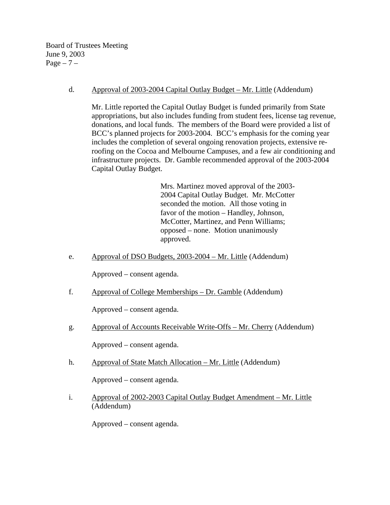Board of Trustees Meeting June 9, 2003 Page  $-7$  –

d. Approval of 2003-2004 Capital Outlay Budget – Mr. Little (Addendum)

Mr. Little reported the Capital Outlay Budget is funded primarily from State appropriations, but also includes funding from student fees, license tag revenue, donations, and local funds. The members of the Board were provided a list of BCC's planned projects for 2003-2004. BCC's emphasis for the coming year includes the completion of several ongoing renovation projects, extensive reroofing on the Cocoa and Melbourne Campuses, and a few air conditioning and infrastructure projects. Dr. Gamble recommended approval of the 2003-2004 Capital Outlay Budget.

> Mrs. Martinez moved approval of the 2003- 2004 Capital Outlay Budget. Mr. McCotter seconded the motion. All those voting in favor of the motion – Handley, Johnson, McCotter, Martinez, and Penn Williams; opposed – none. Motion unanimously approved.

e. Approval of DSO Budgets, 2003-2004 – Mr. Little (Addendum)

Approved – consent agenda.

f. Approval of College Memberships – Dr. Gamble (Addendum)

Approved – consent agenda.

g. Approval of Accounts Receivable Write-Offs – Mr. Cherry (Addendum)

Approved – consent agenda.

h. Approval of State Match Allocation – Mr. Little (Addendum)

Approved – consent agenda.

i. Approval of 2002-2003 Capital Outlay Budget Amendment – Mr. Little (Addendum)

Approved – consent agenda.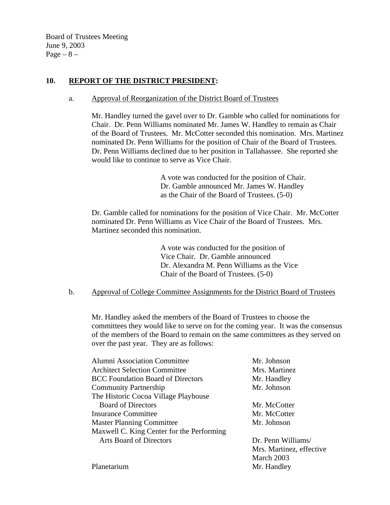Board of Trustees Meeting June 9, 2003  $Page - 8 -$ 

## **10. REPORT OF THE DISTRICT PRESIDENT:**

#### a. Approval of Reorganization of the District Board of Trustees

Mr. Handley turned the gavel over to Dr. Gamble who called for nominations for Chair. Dr. Penn Williams nominated Mr. James W. Handley to remain as Chair of the Board of Trustees. Mr. McCotter seconded this nomination. Mrs. Martinez nominated Dr. Penn Williams for the position of Chair of the Board of Trustees. Dr. Penn Williams declined due to her position in Tallahassee. She reported she would like to continue to serve as Vice Chair.

> A vote was conducted for the position of Chair. Dr. Gamble announced Mr. James W. Handley as the Chair of the Board of Trustees. (5-0)

 Dr. Gamble called for nominations for the position of Vice Chair. Mr. McCotter nominated Dr. Penn Williams as Vice Chair of the Board of Trustees. Mrs. Martinez seconded this nomination.

> A vote was conducted for the position of Vice Chair. Dr. Gamble announced Dr. Alexandra M. Penn Williams as the Vice Chair of the Board of Trustees. (5-0)

b. Approval of College Committee Assignments for the District Board of Trustees

Mr. Handley asked the members of the Board of Trustees to choose the committees they would like to serve on for the coming year. It was the consensus of the members of the Board to remain on the same committees as they served on over the past year. They are as follows:

| <b>Alumni Association Committee</b>       | Mr. Johnson              |
|-------------------------------------------|--------------------------|
| <b>Architect Selection Committee</b>      | Mrs. Martinez            |
| <b>BCC Foundation Board of Directors</b>  | Mr. Handley              |
| <b>Community Partnership</b>              | Mr. Johnson              |
| The Historic Cocoa Village Playhouse      |                          |
| <b>Board of Directors</b>                 | Mr. McCotter             |
| <b>Insurance Committee</b>                | Mr. McCotter             |
| <b>Master Planning Committee</b>          | Mr. Johnson              |
| Maxwell C. King Center for the Performing |                          |
| <b>Arts Board of Directors</b>            | Dr. Penn Williams/       |
|                                           | Mrs. Martinez, effective |
|                                           | March 2003               |
| Planetarium                               | Mr. Handley              |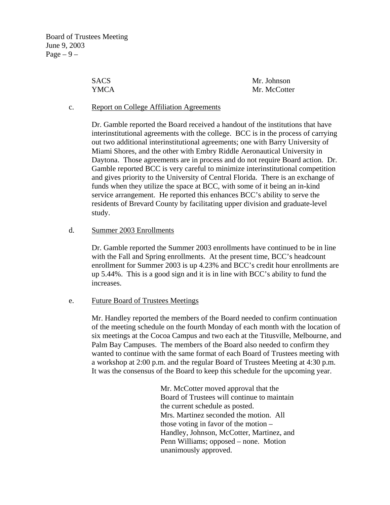| <b>SACS</b> | Mr. Johnson  |
|-------------|--------------|
| YMCA        | Mr. McCotter |

#### c. Report on College Affiliation Agreements

Dr. Gamble reported the Board received a handout of the institutions that have interinstitutional agreements with the college. BCC is in the process of carrying out two additional interinstitutional agreements; one with Barry University of Miami Shores, and the other with Embry Riddle Aeronautical University in Daytona. Those agreements are in process and do not require Board action. Dr. Gamble reported BCC is very careful to minimize interinstitutional competition and gives priority to the University of Central Florida. There is an exchange of funds when they utilize the space at BCC, with some of it being an in-kind service arrangement. He reported this enhances BCC's ability to serve the residents of Brevard County by facilitating upper division and graduate-level study.

#### d. Summer 2003 Enrollments

Dr. Gamble reported the Summer 2003 enrollments have continued to be in line with the Fall and Spring enrollments. At the present time, BCC's headcount enrollment for Summer 2003 is up 4.23% and BCC's credit hour enrollments are up 5.44%. This is a good sign and it is in line with BCC's ability to fund the increases.

### e. Future Board of Trustees Meetings

Mr. Handley reported the members of the Board needed to confirm continuation of the meeting schedule on the fourth Monday of each month with the location of six meetings at the Cocoa Campus and two each at the Titusville, Melbourne, and Palm Bay Campuses. The members of the Board also needed to confirm they wanted to continue with the same format of each Board of Trustees meeting with a workshop at 2:00 p.m. and the regular Board of Trustees Meeting at 4:30 p.m. It was the consensus of the Board to keep this schedule for the upcoming year.

> Mr. McCotter moved approval that the Board of Trustees will continue to maintain the current schedule as posted. Mrs. Martinez seconded the motion. All those voting in favor of the motion – Handley, Johnson, McCotter, Martinez, and Penn Williams; opposed – none. Motion unanimously approved.